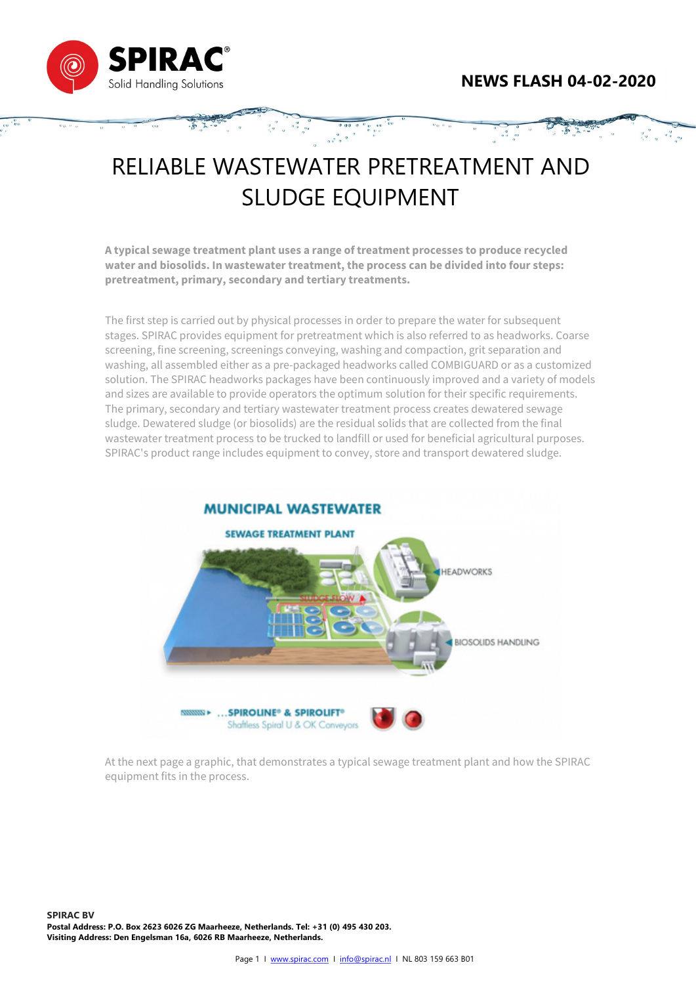

## RELIABLE WASTEWATER PRETREATMENT AND SLUDGE EQUIPMENT

 $0 \t 0 \t 0 \t 0$ 

A typical sewage treatment plant uses a range of treatment processes to produce recycled water and biosolids. In wastewater treatment, the process can be divided into four steps: pretreatment, primary, secondary and tertiary treatments.

The first step is carried out by physical processes in order to prepare the water for subsequent stages. SPIRAC provides equipment for pretreatment which is also referred to as headworks. Coarse screening, fine screening, screenings conveying, washing and compaction, grit separation and washing, all assembled either as a pre-packaged headworks called COMBIGUARD or as a customized solution. The SPIRAC headworks packages have been continuously improved and a variety of models and sizes are available to provide operators the optimum solution for their specific requirements. The primary, secondary and tertiary wastewater treatment process creates dewatered sewage sludge. Dewatered sludge (or biosolids) are the residual solids that are collected from the final wastewater treatment process to be trucked to landfill or used for beneficial agricultural purposes. SPIRAC's product range includes equipment to convey, store and transport dewatered sludge.



At the next page a graphic, that demonstrates a typical sewage treatment plant and how the SPIRAC equipment fits in the process.